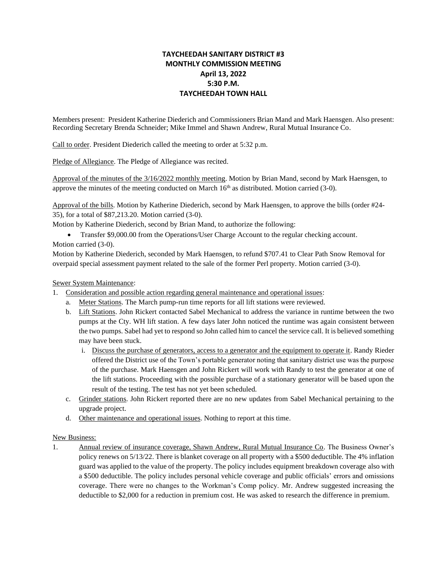## **TAYCHEEDAH SANITARY DISTRICT #3 MONTHLY COMMISSION MEETING April 13, 2022 5:30 P.M. TAYCHEEDAH TOWN HALL**

Members present: President Katherine Diederich and Commissioners Brian Mand and Mark Haensgen. Also present: Recording Secretary Brenda Schneider; Mike Immel and Shawn Andrew, Rural Mutual Insurance Co.

Call to order. President Diederich called the meeting to order at 5:32 p.m.

Pledge of Allegiance. The Pledge of Allegiance was recited.

Approval of the minutes of the 3/16/2022 monthly meeting. Motion by Brian Mand, second by Mark Haensgen, to approve the minutes of the meeting conducted on March  $16<sup>th</sup>$  as distributed. Motion carried (3-0).

Approval of the bills. Motion by Katherine Diederich, second by Mark Haensgen, to approve the bills (order #24- 35), for a total of \$87,213.20. Motion carried (3-0).

Motion by Katherine Diederich, second by Brian Mand, to authorize the following:

• Transfer \$9,000.00 from the Operations/User Charge Account to the regular checking account. Motion carried (3-0).

Motion by Katherine Diederich, seconded by Mark Haensgen, to refund \$707.41 to Clear Path Snow Removal for overpaid special assessment payment related to the sale of the former Perl property. Motion carried (3-0).

## Sewer System Maintenance:

- 1. Consideration and possible action regarding general maintenance and operational issues:
	- a. Meter Stations. The March pump-run time reports for all lift stations were reviewed.
	- b. Lift Stations. John Rickert contacted Sabel Mechanical to address the variance in runtime between the two pumps at the Cty. WH lift station. A few days later John noticed the runtime was again consistent between the two pumps. Sabel had yet to respond so John called him to cancel the service call. It is believed something may have been stuck.
		- i. Discuss the purchase of generators, access to a generator and the equipment to operate it. Randy Rieder offered the District use of the Town's portable generator noting that sanitary district use was the purpose of the purchase. Mark Haensgen and John Rickert will work with Randy to test the generator at one of the lift stations. Proceeding with the possible purchase of a stationary generator will be based upon the result of the testing. The test has not yet been scheduled.
	- c. Grinder stations. John Rickert reported there are no new updates from Sabel Mechanical pertaining to the upgrade project.
	- d. Other maintenance and operational issues. Nothing to report at this time.

## New Business:

1. Annual review of insurance coverage, Shawn Andrew, Rural Mutual Insurance Co. The Business Owner's policy renews on 5/13/22. There is blanket coverage on all property with a \$500 deductible. The 4% inflation guard was applied to the value of the property. The policy includes equipment breakdown coverage also with a \$500 deductible. The policy includes personal vehicle coverage and public officials' errors and omissions coverage. There were no changes to the Workman's Comp policy. Mr. Andrew suggested increasing the deductible to \$2,000 for a reduction in premium cost. He was asked to research the difference in premium.